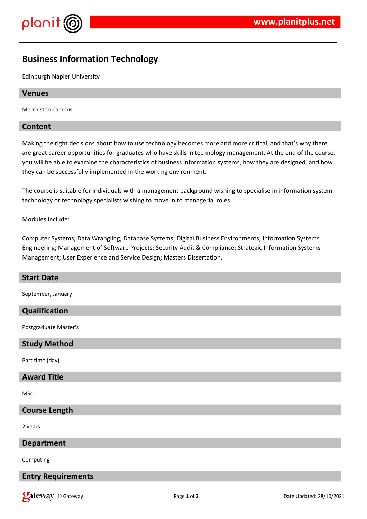

# **Business Information Technology**

Edinburgh Napier University

#### **Venues**

Merchiston Campus

#### **Content**

Making the right decisions about how to use technology becomes more and more critical, and that's why there are great career opportunities for graduates who have skills in technology management. At the end of the course, you will be able to examine the characteristics of business information systems, how they are designed, and how they can be successfully implemented in the working environment.

The course is suitable for individuals with a management background wishing to specialise in information system technology or technology specialists wishing to move in to managerial roles

Modules include:

Computer Systems; Data Wrangling; Database Systems; Digital Business Environments; Information Systems Engineering; Management of Software Projects; Security Audit & Compliance; Strategic Information Systems Management; User Experience and Service Design; Masters Dissertation.

# **Start Date**

September, January

# **Qualification**

Postgraduate Master's

#### **Study Method**

Part time (day)

#### **Award Title**

MSc

#### **Course Length**

2 years

## **Department**

Computing

# **Entry Requirements**